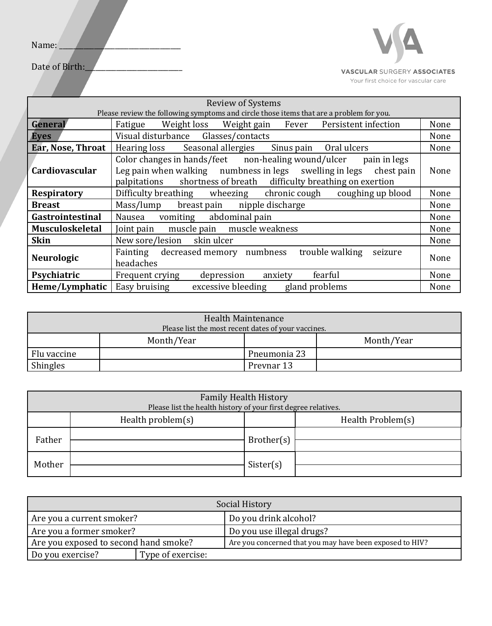

VASCULAR SURGERY ASSOCIATES

Your first choice for vascular care

| <b>Review of Systems</b>                                                                |                                                                                                                                                                                                                   |      |  |
|-----------------------------------------------------------------------------------------|-------------------------------------------------------------------------------------------------------------------------------------------------------------------------------------------------------------------|------|--|
| Please review the following symptoms and circle those items that are a problem for you. |                                                                                                                                                                                                                   |      |  |
| General                                                                                 | Weight loss Weight gain Fever<br>Persistent infection<br>Fatigue                                                                                                                                                  | None |  |
| <b>Eyes</b>                                                                             | Visual disturbance Glasses/contacts<br>None                                                                                                                                                                       |      |  |
| Ear, Nose, Throat                                                                       | Hearing loss Seasonal allergies<br>Sinus pain Oral ulcers<br>None                                                                                                                                                 |      |  |
| Cardiovascular                                                                          | Color changes in hands/feet non-healing wound/ulcer<br>pain in legs<br>Leg pain when walking numbness in legs swelling in legs chest pain<br>shortness of breath difficulty breathing on exertion<br>palpitations | None |  |
| <b>Respiratory</b>                                                                      | Difficulty breathing wheezing chronic cough coughing up blood                                                                                                                                                     | None |  |
| <b>Breast</b>                                                                           | Mass/lump<br>breast pain nipple discharge<br>None                                                                                                                                                                 |      |  |
| Gastrointestinal                                                                        | Nausea vomiting abdominal pain<br>None                                                                                                                                                                            |      |  |
| <b>Musculoskeletal</b>                                                                  | Joint pain muscle pain muscle weakness<br>None                                                                                                                                                                    |      |  |
| <b>Skin</b>                                                                             | New sore/lesion skin ulcer<br>None                                                                                                                                                                                |      |  |
| Neurologic                                                                              | Fainting decreased memory numbness<br>trouble walking<br>seizure<br>headaches                                                                                                                                     | None |  |
| Psychiatric                                                                             | fearful<br>Frequent crying<br>depression<br>anxiety                                                                                                                                                               | None |  |
| Heme/Lymphatic                                                                          | Easy bruising<br>excessive bleeding<br>gland problems                                                                                                                                                             | None |  |

| Health Maintenance<br>Please list the most recent dates of your vaccines. |            |              |            |
|---------------------------------------------------------------------------|------------|--------------|------------|
|                                                                           | Month/Year |              | Month/Year |
| Flu vaccine                                                               |            | Pneumonia 23 |            |
| <b>Shingles</b>                                                           |            | Prevnar 13   |            |

| <b>Family Health History</b><br>Please list the health history of your first degree relatives. |                      |            |                   |
|------------------------------------------------------------------------------------------------|----------------------|------------|-------------------|
|                                                                                                | Health problem $(s)$ |            | Health Problem(s) |
| Father                                                                                         |                      | Brother(s) |                   |
| Mother                                                                                         |                      | Sister(s)  |                   |

| Social History                        |                   |                                                          |  |
|---------------------------------------|-------------------|----------------------------------------------------------|--|
| Are you a current smoker?             |                   | Do you drink alcohol?                                    |  |
| Are you a former smoker?              |                   | Do you use illegal drugs?                                |  |
| Are you exposed to second hand smoke? |                   | Are you concerned that you may have been exposed to HIV? |  |
| Do you exercise?                      | Type of exercise: |                                                          |  |

Date of Birth: